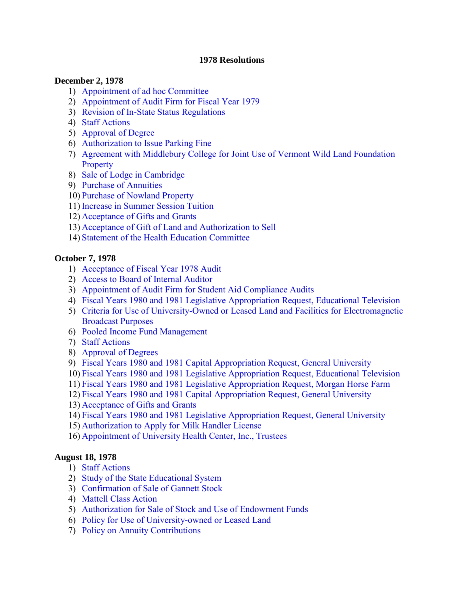#### **1978 Resolutions**

#### **December 2, 1978**

- 1) [Appointment of ad hoc Committee](#page-3-0)
- 2) [Appointment of Audit Firm for Fiscal Year 1979](#page-3-0)
- 3) [Revision of In-State Status Regulations](#page-3-0)
- 4) [Staff Actions](#page-4-0)
- 5) [Approval of Degree](#page-4-0)
- 6) [Authorization to Issue Parking Fine](#page-4-0)
- 7) [Agreement with Middlebury College for Joint Use of Vermont Wild Land Foundation](#page-4-0)  **Property**
- 8) [Sale of Lodge in Cambridge](#page-5-0)
- 9) [Purchase of Annuities](#page-5-0)
- 10) [Purchase of Nowland Property](#page-5-0)
- 11) [Increase in Summer Session Tuition](#page-5-0)
- 12) [Acceptance of Gifts and Grants](#page-6-0)
- 13) [Acceptance of Gift of Land and Authorization to Sell](#page-6-0)
- 14) [Statement of the Health Education Committee](#page-6-0)

# **October 7, 1978**

- 1) [Acceptance of Fiscal Year 1978 Audit](#page-9-0)
- 2) [Access to Board of Internal Auditor](#page-9-0)
- 3) [Appointment of Audit Firm for Student Aid Compliance Audits](#page-9-0)
- 4) [Fiscal Years 1980 and 1981 Legislative Appropriation Request, Educational Television](#page-10-0)
- 5) [Criteria for Use of University-Owned or Leased Land and Facilities for Electromagnetic](#page-10-0) Broadcast Purposes
- 6) [Pooled Income Fund Management](#page-11-0)
- 7) [Staff Actions](#page-11-0)
- 8) [Approval of Degrees](#page-11-0)
- 9) [Fiscal Years 1980 and 1981 Capital Appropriation Request, General University](#page-11-0)
- 10) [Fiscal Years 1980 and 1981 Legislative Appropriation Request, Educational Television](#page-12-0)
- 11) [Fiscal Years 1980 and 1981 Legislative Appropriation Request, Morgan Horse Farm](#page-12-0)
- 12) [Fiscal Years 1980 and 1981 Capital Appropriation Request, General University](#page-12-0)
- 13) [Acceptance of Gifts and Grants](#page-12-0)
- 14) [Fiscal Years 1980 and 1981 Legislative Appropriation Request, General University](#page-13-0)
- 15) [Authorization to Apply for Milk Handler License](#page-14-0)
- 16) [Appointment of University Health Center, Inc., Trustees](#page-14-0)

## **August 18, 1978**

- 1) [Staff Actions](#page-15-0)
- 2) [Study of the State Educational System](#page-15-0)
- 3) [Confirmation of Sale of Gannett Stock](#page-15-0)
- 4) [Mattell Class Action](#page-16-0)
- 5) [Authorization for Sale of Stock and Use of Endowment Funds](#page-16-0)
- 6) [Policy for Use of University-owned or Leased Land](#page-17-0)
- 7) [Policy on Annuity Contributions](#page-17-0)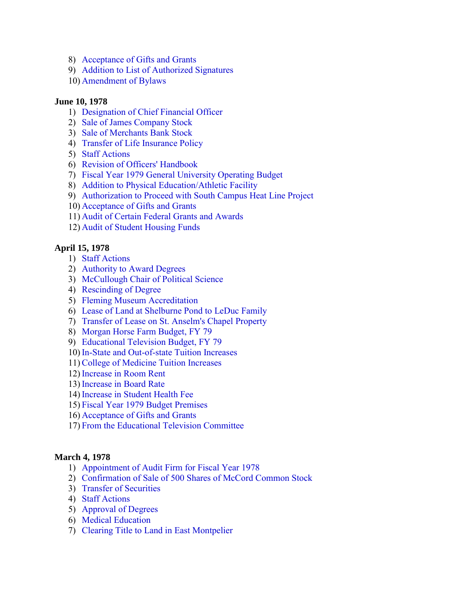- 8) [Acceptance of Gifts and Grants](#page-18-0)
- 9) [Addition to List of Authorized Signatures](#page-18-0)
- 10) [Amendment of Bylaws](#page-18-0)

#### **June 10, 1978**

- 1) [Designation of Chief Financial Officer](#page-19-0)
- 2) [Sale of James Company Stock](#page-19-0)
- 3) [Sale of Merchants Bank Stock](#page-19-0)
- 4) [Transfer of Life Insurance Policy](#page-19-0)
- 5) [Staff Actions](#page-20-0)
- 6) [Revision of Officers' Handbook](#page-20-0)
- 7) [Fiscal Year 1979 General University Operating Budget](#page-20-0)
- 8) [Addition to Physical Education/Athletic Facility](#page-20-0)
- 9) [Authorization to Proceed with South Campus Heat Line Project](#page-20-0)
- 10) [Acceptance of Gifts and Grants](#page-21-0)
- 11) [Audit of Certain Federal Grants and Awards](#page-22-0)
- 12) [Audit of Student Housing Funds](#page-22-0)

# **April 15, 1978**

- 1) [Staff Actions](#page-23-0)
- 2) [Authority to Award Degrees](#page-23-0)
- 3) [McCullough Chair of Political Science](#page-23-0)
- 4) [Rescinding of Degree](#page-23-0)
- 5) [Fleming Museum Accreditation](#page-23-0)
- 6) [Lease of Land at Shelburne Pond to LeDuc Family](#page-24-0)
- 7) [Transfer of Lease on St. Anselm's Chapel Property](#page-24-0)
- 8) [Morgan Horse Farm Budget, FY 79](#page-25-0)
- 9) [Educational Television Budget, FY 79](#page-25-0)
- 10) [In-State and Out-of-state Tuition Increases](#page-25-0)
- 11)[College of Medicine Tuition Increases](#page-25-0)
- 12) [Increase in Room Rent](#page-25-0)
- 13) [Increase in Board Rate](#page-26-0)
- 14) [Increase in Student Health Fee](#page-26-0)
- 15) [Fiscal Year 1979 Budget Premises](#page-26-0)
- 16) [Acceptance of Gifts and Grants](#page-26-0)
- 17) [From the Educational Television Committee](#page-26-0)

#### **March 4, 1978**

- 1) [Appointment of Audit Firm for Fiscal Year 1978](#page-27-0)
- 2) [Confirmation of Sale of 500 Shares of McCord Common Stock](#page-27-0)
- 3) [Transfer of Securities](#page-27-0)
- 4) [Staff Actions](#page-28-0)
- 5) [Approval of Degrees](#page-28-0)
- 6) [Medical Education](#page-28-0)
- 7) [Clearing Title to Land in East Montpelier](#page-29-0)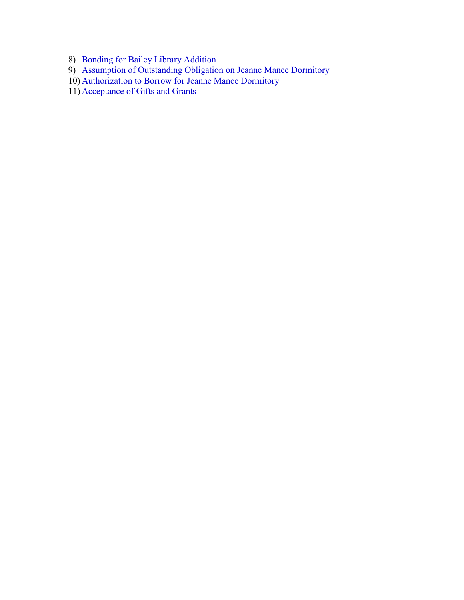- 8) [Bonding for Bailey Library Addition](#page-29-0)
- 9) [Assumption of Outstanding Obligation on Jeanne Mance Dormitory](#page-29-0)
- 10) [Authorization to Borrow for Jeanne Mance Dormitory](#page-30-0)
- 11) [Acceptance of Gifts and Grants](#page-30-0)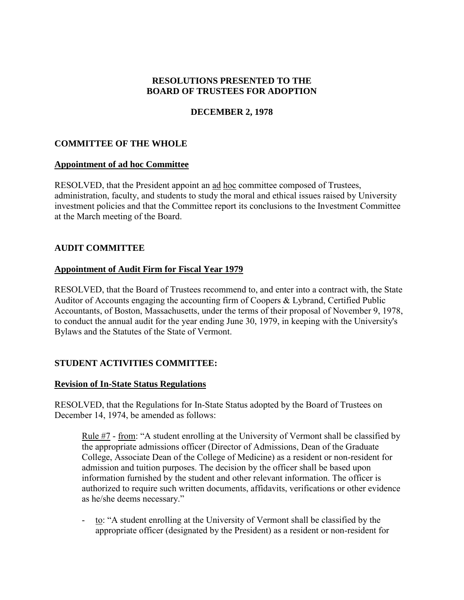## **RESOLUTIONS PRESENTED TO THE BOARD OF TRUSTEES FOR ADOPTION**

# **DECEMBER 2, 1978**

## <span id="page-3-0"></span>**COMMITTEE OF THE WHOLE**

#### **Appointment of ad hoc Committee**

RESOLVED, that the President appoint an ad hoc committee composed of Trustees, administration, faculty, and students to study the moral and ethical issues raised by University investment policies and that the Committee report its conclusions to the Investment Committee at the March meeting of the Board.

## **AUDIT COMMITTEE**

#### **Appointment of Audit Firm for Fiscal Year 1979**

RESOLVED, that the Board of Trustees recommend to, and enter into a contract with, the State Auditor of Accounts engaging the accounting firm of Coopers & Lybrand, Certified Public Accountants, of Boston, Massachusetts, under the terms of their proposal of November 9, 1978, to conduct the annual audit for the year ending June 30, 1979, in keeping with the University's Bylaws and the Statutes of the State of Vermont.

## **STUDENT ACTIVITIES COMMITTEE:**

## **Revision of In-State Status Regulations**

RESOLVED, that the Regulations for In-State Status adopted by the Board of Trustees on December 14, 1974, be amended as follows:

Rule #7 - from: "A student enrolling at the University of Vermont shall be classified by the appropriate admissions officer (Director of Admissions, Dean of the Graduate College, Associate Dean of the College of Medicine) as a resident or non-resident for admission and tuition purposes. The decision by the officer shall be based upon information furnished by the student and other relevant information. The officer is authorized to require such written documents, affidavits, verifications or other evidence as he/she deems necessary."

- to: "A student enrolling at the University of Vermont shall be classified by the appropriate officer (designated by the President) as a resident or non-resident for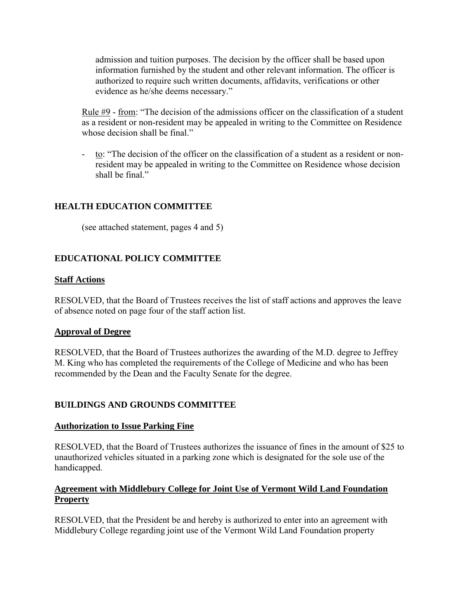<span id="page-4-0"></span>admission and tuition purposes. The decision by the officer shall be based upon information furnished by the student and other relevant information. The officer is authorized to require such written documents, affidavits, verifications or other evidence as he/she deems necessary."

Rule #9 - from: "The decision of the admissions officer on the classification of a student as a resident or non-resident may be appealed in writing to the Committee on Residence whose decision shall be final."

- to: "The decision of the officer on the classification of a student as a resident or nonresident may be appealed in writing to the Committee on Residence whose decision shall be final."

# **HEALTH EDUCATION COMMITTEE**

(see attached statement, pages 4 and 5)

# **EDUCATIONAL POLICY COMMITTEE**

#### **Staff Actions**

RESOLVED, that the Board of Trustees receives the list of staff actions and approves the leave of absence noted on page four of the staff action list.

#### **Approval of Degree**

RESOLVED, that the Board of Trustees authorizes the awarding of the M.D. degree to Jeffrey M. King who has completed the requirements of the College of Medicine and who has been recommended by the Dean and the Faculty Senate for the degree.

## **BUILDINGS AND GROUNDS COMMITTEE**

#### **Authorization to Issue Parking Fine**

RESOLVED, that the Board of Trustees authorizes the issuance of fines in the amount of \$25 to unauthorized vehicles situated in a parking zone which is designated for the sole use of the handicapped.

# **Agreement with Middlebury College for Joint Use of Vermont Wild Land Foundation Property**

RESOLVED, that the President be and hereby is authorized to enter into an agreement with Middlebury College regarding joint use of the Vermont Wild Land Foundation property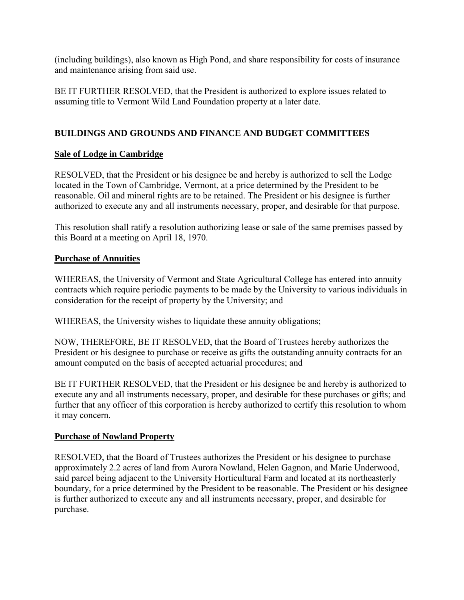<span id="page-5-0"></span>(including buildings), also known as High Pond, and share responsibility for costs of insurance and maintenance arising from said use.

BE IT FURTHER RESOLVED, that the President is authorized to explore issues related to assuming title to Vermont Wild Land Foundation property at a later date.

# **BUILDINGS AND GROUNDS AND FINANCE AND BUDGET COMMITTEES**

# **Sale of Lodge in Cambridge**

RESOLVED, that the President or his designee be and hereby is authorized to sell the Lodge located in the Town of Cambridge, Vermont, at a price determined by the President to be reasonable. Oil and mineral rights are to be retained. The President or his designee is further authorized to execute any and all instruments necessary, proper, and desirable for that purpose.

This resolution shall ratify a resolution authorizing lease or sale of the same premises passed by this Board at a meeting on April 18, 1970.

# **Purchase of Annuities**

WHEREAS, the University of Vermont and State Agricultural College has entered into annuity contracts which require periodic payments to be made by the University to various individuals in consideration for the receipt of property by the University; and

WHEREAS, the University wishes to liquidate these annuity obligations;

NOW, THEREFORE, BE IT RESOLVED, that the Board of Trustees hereby authorizes the President or his designee to purchase or receive as gifts the outstanding annuity contracts for an amount computed on the basis of accepted actuarial procedures; and

BE IT FURTHER RESOLVED, that the President or his designee be and hereby is authorized to execute any and all instruments necessary, proper, and desirable for these purchases or gifts; and further that any officer of this corporation is hereby authorized to certify this resolution to whom it may concern.

# **Purchase of Nowland Property**

RESOLVED, that the Board of Trustees authorizes the President or his designee to purchase approximately 2.2 acres of land from Aurora Nowland, Helen Gagnon, and Marie Underwood, said parcel being adjacent to the University Horticultural Farm and located at its northeasterly boundary, for a price determined by the President to be reasonable. The President or his designee is further authorized to execute any and all instruments necessary, proper, and desirable for purchase.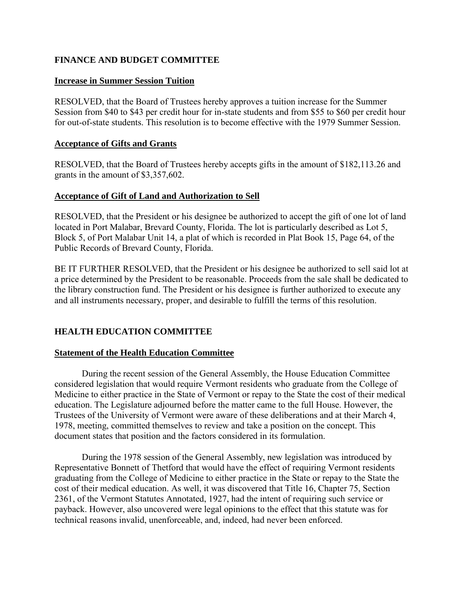## <span id="page-6-0"></span>**FINANCE AND BUDGET COMMITTEE**

### **Increase in Summer Session Tuition**

RESOLVED, that the Board of Trustees hereby approves a tuition increase for the Summer Session from \$40 to \$43 per credit hour for in-state students and from \$55 to \$60 per credit hour for out-of-state students. This resolution is to become effective with the 1979 Summer Session.

#### **Acceptance of Gifts and Grants**

RESOLVED, that the Board of Trustees hereby accepts gifts in the amount of \$182,113.26 and grants in the amount of \$3,357,602.

## **Acceptance of Gift of Land and Authorization to Sell**

RESOLVED, that the President or his designee be authorized to accept the gift of one lot of land located in Port Malabar, Brevard County, Florida. The lot is particularly described as Lot 5, Block 5, of Port Malabar Unit 14, a plat of which is recorded in Plat Book 15, Page 64, of the Public Records of Brevard County, Florida.

BE IT FURTHER RESOLVED, that the President or his designee be authorized to sell said lot at a price determined by the President to be reasonable. Proceeds from the sale shall be dedicated to the library construction fund. The President or his designee is further authorized to execute any and all instruments necessary, proper, and desirable to fulfill the terms of this resolution.

## **HEALTH EDUCATION COMMITTEE**

## **Statement of the Health Education Committee**

 During the recent session of the General Assembly, the House Education Committee considered legislation that would require Vermont residents who graduate from the College of Medicine to either practice in the State of Vermont or repay to the State the cost of their medical education. The Legislature adjourned before the matter came to the full House. However, the Trustees of the University of Vermont were aware of these deliberations and at their March 4, 1978, meeting, committed themselves to review and take a position on the concept. This document states that position and the factors considered in its formulation.

During the 1978 session of the General Assembly, new legislation was introduced by Representative Bonnett of Thetford that would have the effect of requiring Vermont residents graduating from the College of Medicine to either practice in the State or repay to the State the cost of their medical education. As well, it was discovered that Title 16, Chapter 75, Section 2361, of the Vermont Statutes Annotated, 1927, had the intent of requiring such service or payback. However, also uncovered were legal opinions to the effect that this statute was for technical reasons invalid, unenforceable, and, indeed, had never been enforced.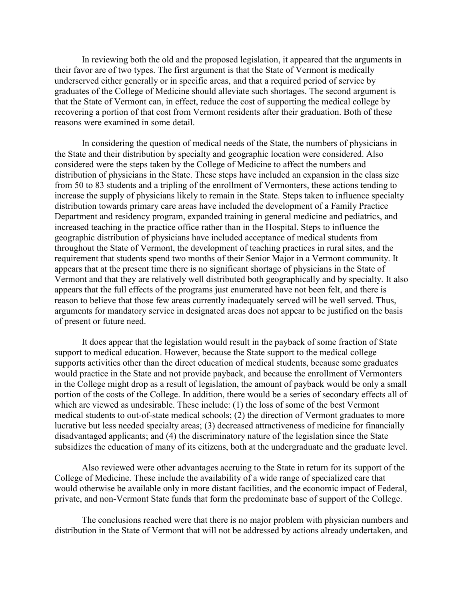In reviewing both the old and the proposed legislation, it appeared that the arguments in their favor are of two types. The first argument is that the State of Vermont is medically underserved either generally or in specific areas, and that a required period of service by graduates of the College of Medicine should alleviate such shortages. The second argument is that the State of Vermont can, in effect, reduce the cost of supporting the medical college by recovering a portion of that cost from Vermont residents after their graduation. Both of these reasons were examined in some detail.

 In considering the question of medical needs of the State, the numbers of physicians in the State and their distribution by specialty and geographic location were considered. Also considered were the steps taken by the College of Medicine to affect the numbers and distribution of physicians in the State. These steps have included an expansion in the class size from 50 to 83 students and a tripling of the enrollment of Vermonters, these actions tending to increase the supply of physicians likely to remain in the State. Steps taken to influence specialty distribution towards primary care areas have included the development of a Family Practice Department and residency program, expanded training in general medicine and pediatrics, and increased teaching in the practice office rather than in the Hospital. Steps to influence the geographic distribution of physicians have included acceptance of medical students from throughout the State of Vermont, the development of teaching practices in rural sites, and the requirement that students spend two months of their Senior Major in a Vermont community. It appears that at the present time there is no significant shortage of physicians in the State of Vermont and that they are relatively well distributed both geographically and by specialty. It also appears that the full effects of the programs just enumerated have not been felt, and there is reason to believe that those few areas currently inadequately served will be well served. Thus, arguments for mandatory service in designated areas does not appear to be justified on the basis of present or future need.

 It does appear that the legislation would result in the payback of some fraction of State support to medical education. However, because the State support to the medical college supports activities other than the direct education of medical students, because some graduates would practice in the State and not provide payback, and because the enrollment of Vermonters in the College might drop as a result of legislation, the amount of payback would be only a small portion of the costs of the College. In addition, there would be a series of secondary effects all of which are viewed as undesirable. These include: (1) the loss of some of the best Vermont medical students to out-of-state medical schools; (2) the direction of Vermont graduates to more lucrative but less needed specialty areas; (3) decreased attractiveness of medicine for financially disadvantaged applicants; and (4) the discriminatory nature of the legislation since the State subsidizes the education of many of its citizens, both at the undergraduate and the graduate level.

Also reviewed were other advantages accruing to the State in return for its support of the College of Medicine. These include the availability of a wide range of specialized care that would otherwise be available only in more distant facilities, and the economic impact of Federal, private, and non-Vermont State funds that form the predominate base of support of the College.

The conclusions reached were that there is no major problem with physician numbers and distribution in the State of Vermont that will not be addressed by actions already undertaken, and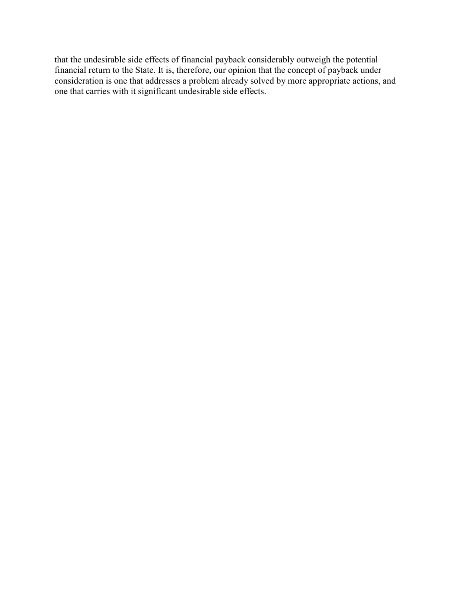that the undesirable side effects of financial payback considerably outweigh the potential financial return to the State. It is, therefore, our opinion that the concept of payback under consideration is one that addresses a problem already solved by more appropriate actions, and one that carries with it significant undesirable side effects.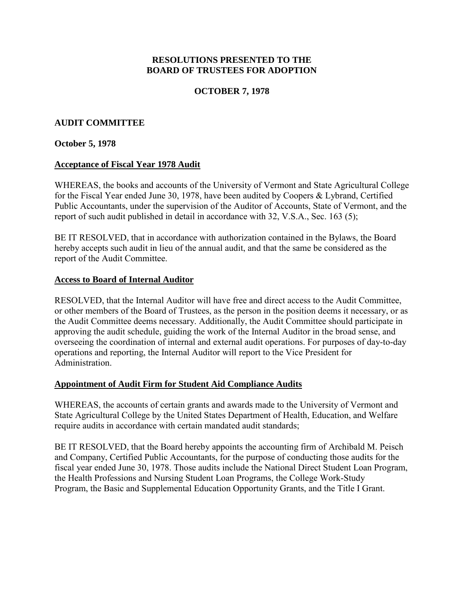### **RESOLUTIONS PRESENTED TO THE BOARD OF TRUSTEES FOR ADOPTION**

## **OCTOBER 7, 1978**

## <span id="page-9-0"></span>**AUDIT COMMITTEE**

#### **October 5, 1978**

#### **Acceptance of Fiscal Year 1978 Audit**

WHEREAS, the books and accounts of the University of Vermont and State Agricultural College for the Fiscal Year ended June 30, 1978, have been audited by Coopers & Lybrand, Certified Public Accountants, under the supervision of the Auditor of Accounts, State of Vermont, and the report of such audit published in detail in accordance with 32, V.S.A., Sec. 163 (5);

BE IT RESOLVED, that in accordance with authorization contained in the Bylaws, the Board hereby accepts such audit in lieu of the annual audit, and that the same be considered as the report of the Audit Committee.

#### **Access to Board of Internal Auditor**

RESOLVED, that the Internal Auditor will have free and direct access to the Audit Committee, or other members of the Board of Trustees, as the person in the position deems it necessary, or as the Audit Committee deems necessary. Additionally, the Audit Committee should participate in approving the audit schedule, guiding the work of the Internal Auditor in the broad sense, and overseeing the coordination of internal and external audit operations. For purposes of day-to-day operations and reporting, the Internal Auditor will report to the Vice President for Administration.

## **Appointment of Audit Firm for Student Aid Compliance Audits**

WHEREAS, the accounts of certain grants and awards made to the University of Vermont and State Agricultural College by the United States Department of Health, Education, and Welfare require audits in accordance with certain mandated audit standards;

BE IT RESOLVED, that the Board hereby appoints the accounting firm of Archibald M. Peisch and Company, Certified Public Accountants, for the purpose of conducting those audits for the fiscal year ended June 30, 1978. Those audits include the National Direct Student Loan Program, the Health Professions and Nursing Student Loan Programs, the College Work-Study Program, the Basic and Supplemental Education Opportunity Grants, and the Title I Grant.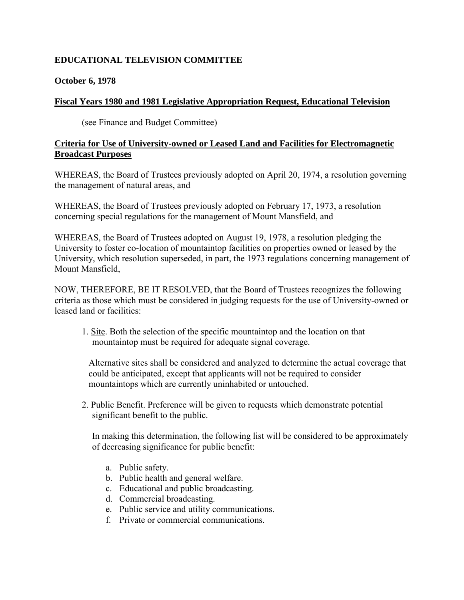# <span id="page-10-0"></span>**EDUCATIONAL TELEVISION COMMITTEE**

#### **October 6, 1978**

#### **Fiscal Years 1980 and 1981 Legislative Appropriation Request, Educational Television**

(see Finance and Budget Committee)

#### **Criteria for Use of University-owned or Leased Land and Facilities for Electromagnetic Broadcast Purposes**

WHEREAS, the Board of Trustees previously adopted on April 20, 1974, a resolution governing the management of natural areas, and

WHEREAS, the Board of Trustees previously adopted on February 17, 1973, a resolution concerning special regulations for the management of Mount Mansfield, and

WHEREAS, the Board of Trustees adopted on August 19, 1978, a resolution pledging the University to foster co-location of mountaintop facilities on properties owned or leased by the University, which resolution superseded, in part, the 1973 regulations concerning management of Mount Mansfield,

NOW, THEREFORE, BE IT RESOLVED, that the Board of Trustees recognizes the following criteria as those which must be considered in judging requests for the use of University-owned or leased land or facilities:

1. Site. Both the selection of the specific mountaintop and the location on that mountaintop must be required for adequate signal coverage.

Alternative sites shall be considered and analyzed to determine the actual coverage that could be anticipated, except that applicants will not be required to consider mountaintops which are currently uninhabited or untouched.

2. Public Benefit. Preference will be given to requests which demonstrate potential significant benefit to the public.

In making this determination, the following list will be considered to be approximately of decreasing significance for public benefit:

- a. Public safety.
- b. Public health and general welfare.
- c. Educational and public broadcasting.
- d. Commercial broadcasting.
- e. Public service and utility communications.
- f. Private or commercial communications.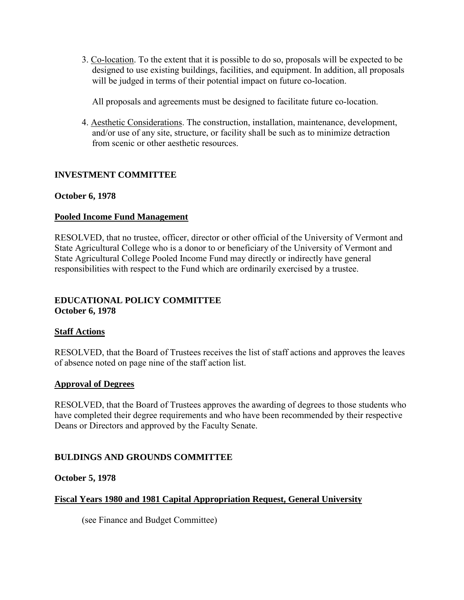<span id="page-11-0"></span>3. Co-location. To the extent that it is possible to do so, proposals will be expected to be designed to use existing buildings, facilities, and equipment. In addition, all proposals will be judged in terms of their potential impact on future co-location.

All proposals and agreements must be designed to facilitate future co-location.

4. Aesthetic Considerations. The construction, installation, maintenance, development, and/or use of any site, structure, or facility shall be such as to minimize detraction from scenic or other aesthetic resources.

# **INVESTMENT COMMITTEE**

# **October 6, 1978**

# **Pooled Income Fund Management**

RESOLVED, that no trustee, officer, director or other official of the University of Vermont and State Agricultural College who is a donor to or beneficiary of the University of Vermont and State Agricultural College Pooled Income Fund may directly or indirectly have general responsibilities with respect to the Fund which are ordinarily exercised by a trustee.

#### **EDUCATIONAL POLICY COMMITTEE October 6, 1978**

## **Staff Actions**

RESOLVED, that the Board of Trustees receives the list of staff actions and approves the leaves of absence noted on page nine of the staff action list.

## **Approval of Degrees**

RESOLVED, that the Board of Trustees approves the awarding of degrees to those students who have completed their degree requirements and who have been recommended by their respective Deans or Directors and approved by the Faculty Senate.

# **BULDINGS AND GROUNDS COMMITTEE**

## **October 5, 1978**

# **Fiscal Years 1980 and 1981 Capital Appropriation Request, General University**

(see Finance and Budget Committee)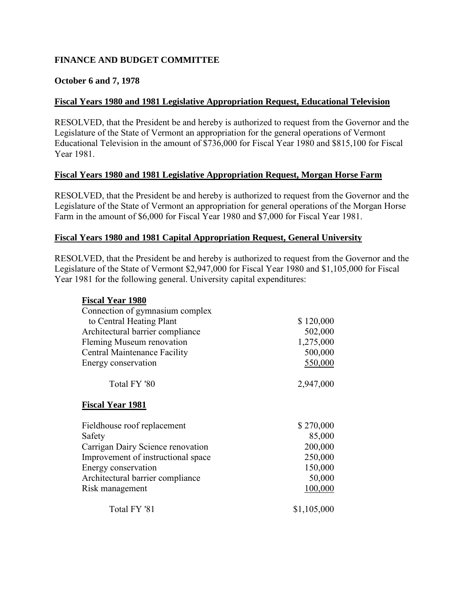## <span id="page-12-0"></span>**FINANCE AND BUDGET COMMITTEE**

### **October 6 and 7, 1978**

#### **Fiscal Years 1980 and 1981 Legislative Appropriation Request, Educational Television**

RESOLVED, that the President be and hereby is authorized to request from the Governor and the Legislature of the State of Vermont an appropriation for the general operations of Vermont Educational Television in the amount of \$736,000 for Fiscal Year 1980 and \$815,100 for Fiscal Year 1981.

#### **Fiscal Years 1980 and 1981 Legislative Appropriation Request, Morgan Horse Farm**

RESOLVED, that the President be and hereby is authorized to request from the Governor and the Legislature of the State of Vermont an appropriation for general operations of the Morgan Horse Farm in the amount of \$6,000 for Fiscal Year 1980 and \$7,000 for Fiscal Year 1981.

#### **Fiscal Years 1980 and 1981 Capital Appropriation Request, General University**

RESOLVED, that the President be and hereby is authorized to request from the Governor and the Legislature of the State of Vermont \$2,947,000 for Fiscal Year 1980 and \$1,105,000 for Fiscal Year 1981 for the following general. University capital expenditures:

| <b>Fiscal Year 1980</b>             |             |
|-------------------------------------|-------------|
| Connection of gymnasium complex     |             |
| to Central Heating Plant            | \$120,000   |
| Architectural barrier compliance    | 502,000     |
| Fleming Museum renovation           | 1,275,000   |
| <b>Central Maintenance Facility</b> | 500,000     |
| Energy conservation                 | 550,000     |
| Total FY '80                        | 2,947,000   |
| <b>Fiscal Year 1981</b>             |             |
| Fieldhouse roof replacement         | \$270,000   |
| Safety                              | 85,000      |
| Carrigan Dairy Science renovation   | 200,000     |
| Improvement of instructional space  | 250,000     |
| Energy conservation                 | 150,000     |
| Architectural barrier compliance    | 50,000      |
| Risk management                     | 100,000     |
| Total FY '81                        | \$1,105,000 |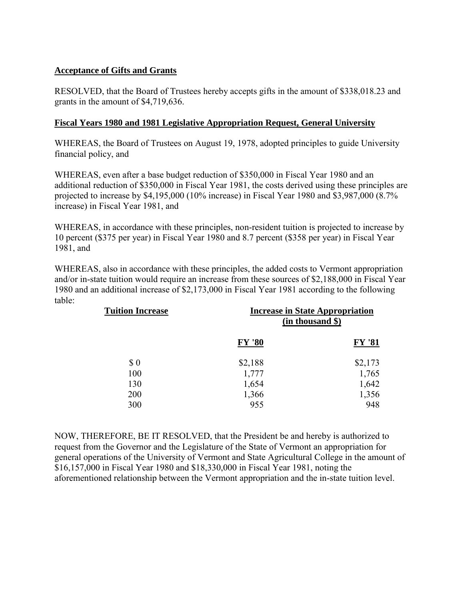# <span id="page-13-0"></span>**Acceptance of Gifts and Grants**

RESOLVED, that the Board of Trustees hereby accepts gifts in the amount of \$338,018.23 and grants in the amount of \$4,719,636.

### **Fiscal Years 1980 and 1981 Legislative Appropriation Request, General University**

WHEREAS, the Board of Trustees on August 19, 1978, adopted principles to guide University financial policy, and

WHEREAS, even after a base budget reduction of \$350,000 in Fiscal Year 1980 and an additional reduction of \$350,000 in Fiscal Year 1981, the costs derived using these principles are projected to increase by \$4,195,000 (10% increase) in Fiscal Year 1980 and \$3,987,000 (8.7% increase) in Fiscal Year 1981, and

WHEREAS, in accordance with these principles, non-resident tuition is projected to increase by 10 percent (\$375 per year) in Fiscal Year 1980 and 8.7 percent (\$358 per year) in Fiscal Year 1981, and

WHEREAS, also in accordance with these principles, the added costs to Vermont appropriation and/or in-state tuition would require an increase from these sources of \$2,188,000 in Fiscal Year 1980 and an additional increase of \$2,173,000 in Fiscal Year 1981 according to the following table:

| <b>Tuition Increase</b> | <b>Increase in State Appropriation</b><br>(in thousand \$) |               |
|-------------------------|------------------------------------------------------------|---------------|
|                         | <b>FY '80</b>                                              | <b>FY '81</b> |
| \$0                     | \$2,188                                                    | \$2,173       |
| 100                     | 1,777                                                      | 1,765         |
| 130                     | 1,654                                                      | 1,642         |
| 200                     | 1,366                                                      | 1,356         |
| 300                     | 955                                                        | 948           |

NOW, THEREFORE, BE IT RESOLVED, that the President be and hereby is authorized to request from the Governor and the Legislature of the State of Vermont an appropriation for general operations of the University of Vermont and State Agricultural College in the amount of \$16,157,000 in Fiscal Year 1980 and \$18,330,000 in Fiscal Year 1981, noting the aforementioned relationship between the Vermont appropriation and the in-state tuition level.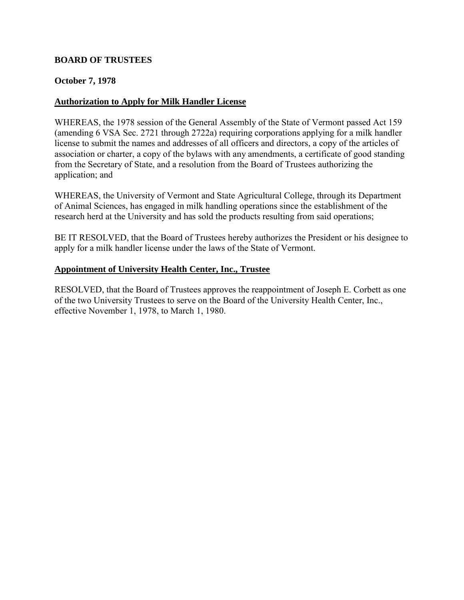#### <span id="page-14-0"></span>**BOARD OF TRUSTEES**

#### **October 7, 1978**

#### **Authorization to Apply for Milk Handler License**

WHEREAS, the 1978 session of the General Assembly of the State of Vermont passed Act 159 (amending 6 VSA Sec. 2721 through 2722a) requiring corporations applying for a milk handler license to submit the names and addresses of all officers and directors, a copy of the articles of association or charter, a copy of the bylaws with any amendments, a certificate of good standing from the Secretary of State, and a resolution from the Board of Trustees authorizing the application; and

WHEREAS, the University of Vermont and State Agricultural College, through its Department of Animal Sciences, has engaged in milk handling operations since the establishment of the research herd at the University and has sold the products resulting from said operations;

BE IT RESOLVED, that the Board of Trustees hereby authorizes the President or his designee to apply for a milk handler license under the laws of the State of Vermont.

#### **Appointment of University Health Center, Inc., Trustee**

RESOLVED, that the Board of Trustees approves the reappointment of Joseph E. Corbett as one of the two University Trustees to serve on the Board of the University Health Center, Inc., effective November 1, 1978, to March 1, 1980.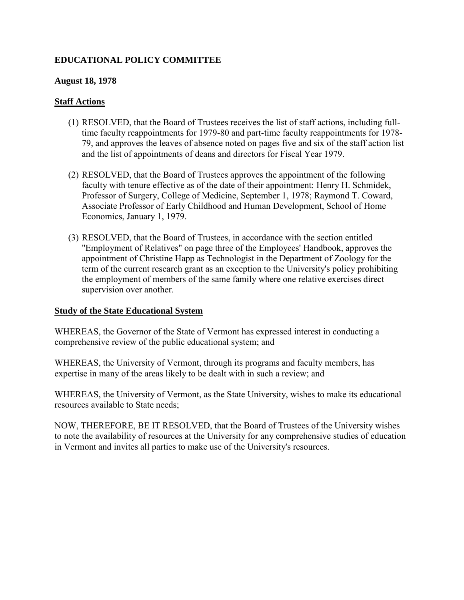# <span id="page-15-0"></span>**EDUCATIONAL POLICY COMMITTEE**

#### **August 18, 1978**

#### **Staff Actions**

- (1) RESOLVED, that the Board of Trustees receives the list of staff actions, including fulltime faculty reappointments for 1979-80 and part-time faculty reappointments for 1978- 79, and approves the leaves of absence noted on pages five and six of the staff action list and the list of appointments of deans and directors for Fiscal Year 1979.
- (2) RESOLVED, that the Board of Trustees approves the appointment of the following faculty with tenure effective as of the date of their appointment: Henry H. Schmidek, Professor of Surgery, College of Medicine, September 1, 1978; Raymond T. Coward, Associate Professor of Early Childhood and Human Development, School of Home Economics, January 1, 1979.
- (3) RESOLVED, that the Board of Trustees, in accordance with the section entitled "Employment of Relatives" on page three of the Employees' Handbook, approves the appointment of Christine Happ as Technologist in the Department of Zoology for the term of the current research grant as an exception to the University's policy prohibiting the employment of members of the same family where one relative exercises direct supervision over another.

#### **Study of the State Educational System**

WHEREAS, the Governor of the State of Vermont has expressed interest in conducting a comprehensive review of the public educational system; and

WHEREAS, the University of Vermont, through its programs and faculty members, has expertise in many of the areas likely to be dealt with in such a review; and

WHEREAS, the University of Vermont, as the State University, wishes to make its educational resources available to State needs;

NOW, THEREFORE, BE IT RESOLVED, that the Board of Trustees of the University wishes to note the availability of resources at the University for any comprehensive studies of education in Vermont and invites all parties to make use of the University's resources.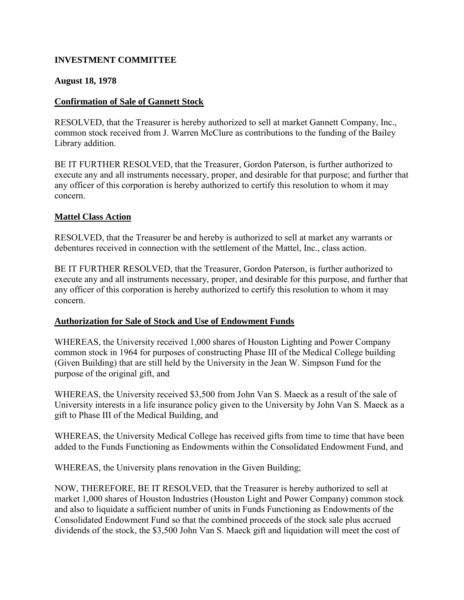## <span id="page-16-0"></span>**INVESTMENT COMMITTEE**

### **August 18, 1978**

#### **Confirmation of Sale of Gannett Stock**

RESOLVED, that the Treasurer is hereby authorized to sell at market Gannett Company, Inc., common stock received from J. Warren McClure as contributions to the funding of the Bailey Library addition.

BE IT FURTHER RESOLVED, that the Treasurer, Gordon Paterson, is further authorized to execute any and all instruments necessary, proper, and desirable for that purpose; and further that any officer of this corporation is hereby authorized to certify this resolution to whom it may concern.

#### **Mattel Class Action**

RESOLVED, that the Treasurer be and hereby is authorized to sell at market any warrants or debentures received in connection with the settlement of the Mattel, Inc., class action.

BE IT FURTHER RESOLVED, that the Treasurer, Gordon Paterson, is further authorized to execute any and all instruments necessary, proper, and desirable for this purpose, and further that any officer of this corporation is hereby authorized to certify this resolution to whom it may concern.

## **Authorization for Sale of Stock and Use of Endowment Funds**

WHEREAS, the University received 1,000 shares of Houston Lighting and Power Company common stock in 1964 for purposes of constructing Phase III of the Medical College building (Given Building) that are still held by the University in the Jean W. Simpson Fund for the purpose of the original gift, and

WHEREAS, the University received \$3,500 from John Van S. Maeck as a result of the sale of University interests in a life insurance policy given to the University by John Van S. Maeck as a gift to Phase III of the Medical Building, and

WHEREAS, the University Medical College has received gifts from time to time that have been added to the Funds Functioning as Endowments within the Consolidated Endowment Fund, and

WHEREAS, the University plans renovation in the Given Building;

NOW, THEREFORE, BE IT RESOLVED, that the Treasurer is hereby authorized to sell at market 1,000 shares of Houston Industries (Houston Light and Power Company) common stock and also to liquidate a sufficient number of units in Funds Functioning as Endowments of the Consolidated Endowment Fund so that the combined proceeds of the stock sale plus accrued dividends of the stock, the \$3,500 John Van S. Maeck gift and liquidation will meet the cost of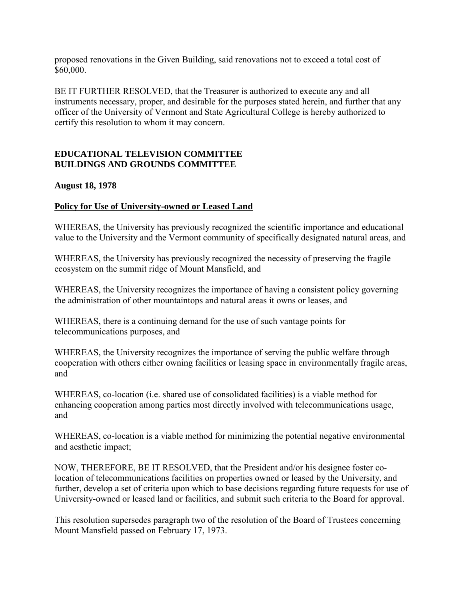<span id="page-17-0"></span>proposed renovations in the Given Building, said renovations not to exceed a total cost of \$60,000.

BE IT FURTHER RESOLVED, that the Treasurer is authorized to execute any and all instruments necessary, proper, and desirable for the purposes stated herein, and further that any officer of the University of Vermont and State Agricultural College is hereby authorized to certify this resolution to whom it may concern.

## **EDUCATIONAL TELEVISION COMMITTEE BUILDINGS AND GROUNDS COMMITTEE**

#### **August 18, 1978**

## **Policy for Use of University-owned or Leased Land**

WHEREAS, the University has previously recognized the scientific importance and educational value to the University and the Vermont community of specifically designated natural areas, and

WHEREAS, the University has previously recognized the necessity of preserving the fragile ecosystem on the summit ridge of Mount Mansfield, and

WHEREAS, the University recognizes the importance of having a consistent policy governing the administration of other mountaintops and natural areas it owns or leases, and

WHEREAS, there is a continuing demand for the use of such vantage points for telecommunications purposes, and

WHEREAS, the University recognizes the importance of serving the public welfare through cooperation with others either owning facilities or leasing space in environmentally fragile areas, and

WHEREAS, co-location (i.e. shared use of consolidated facilities) is a viable method for enhancing cooperation among parties most directly involved with telecommunications usage, and

WHEREAS, co-location is a viable method for minimizing the potential negative environmental and aesthetic impact;

NOW, THEREFORE, BE IT RESOLVED, that the President and/or his designee foster colocation of telecommunications facilities on properties owned or leased by the University, and further, develop a set of criteria upon which to base decisions regarding future requests for use of University-owned or leased land or facilities, and submit such criteria to the Board for approval.

This resolution supersedes paragraph two of the resolution of the Board of Trustees concerning Mount Mansfield passed on February 17, 1973.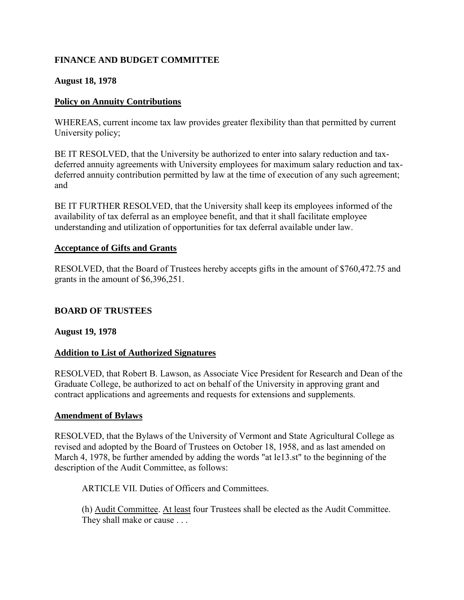# <span id="page-18-0"></span>**FINANCE AND BUDGET COMMITTEE**

### **August 18, 1978**

### **Policy on Annuity Contributions**

WHEREAS, current income tax law provides greater flexibility than that permitted by current University policy;

BE IT RESOLVED, that the University be authorized to enter into salary reduction and taxdeferred annuity agreements with University employees for maximum salary reduction and taxdeferred annuity contribution permitted by law at the time of execution of any such agreement; and

BE IT FURTHER RESOLVED, that the University shall keep its employees informed of the availability of tax deferral as an employee benefit, and that it shall facilitate employee understanding and utilization of opportunities for tax deferral available under law.

#### **Acceptance of Gifts and Grants**

RESOLVED, that the Board of Trustees hereby accepts gifts in the amount of \$760,472.75 and grants in the amount of \$6,396,251.

## **BOARD OF TRUSTEES**

#### **August 19, 1978**

## **Addition to List of Authorized Signatures**

RESOLVED, that Robert B. Lawson, as Associate Vice President for Research and Dean of the Graduate College, be authorized to act on behalf of the University in approving grant and contract applications and agreements and requests for extensions and supplements.

#### **Amendment of Bylaws**

RESOLVED, that the Bylaws of the University of Vermont and State Agricultural College as revised and adopted by the Board of Trustees on October 18, 1958, and as last amended on March 4, 1978, be further amended by adding the words "at le13.st" to the beginning of the description of the Audit Committee, as follows:

ARTICLE VII. Duties of Officers and Committees.

(h) Audit Committee. At least four Trustees shall be elected as the Audit Committee. They shall make or cause . . .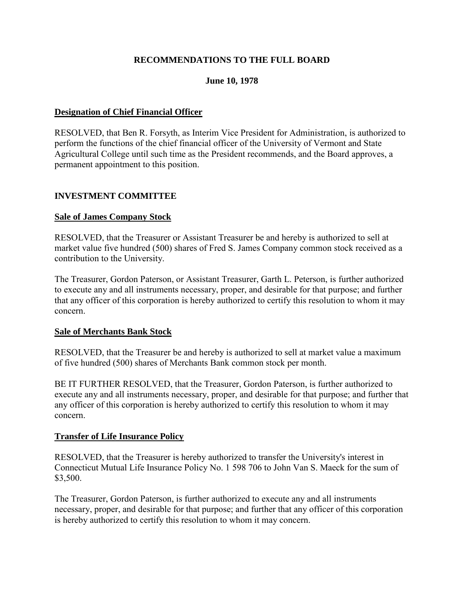## **RECOMMENDATIONS TO THE FULL BOARD**

### **June 10, 1978**

#### <span id="page-19-0"></span>**Designation of Chief Financial Officer**

RESOLVED, that Ben R. Forsyth, as Interim Vice President for Administration, is authorized to perform the functions of the chief financial officer of the University of Vermont and State Agricultural College until such time as the President recommends, and the Board approves, a permanent appointment to this position.

#### **INVESTMENT COMMITTEE**

#### **Sale of James Company Stock**

RESOLVED, that the Treasurer or Assistant Treasurer be and hereby is authorized to sell at market value five hundred (500) shares of Fred S. James Company common stock received as a contribution to the University.

The Treasurer, Gordon Paterson, or Assistant Treasurer, Garth L. Peterson, is further authorized to execute any and all instruments necessary, proper, and desirable for that purpose; and further that any officer of this corporation is hereby authorized to certify this resolution to whom it may concern.

#### **Sale of Merchants Bank Stock**

RESOLVED, that the Treasurer be and hereby is authorized to sell at market value a maximum of five hundred (500) shares of Merchants Bank common stock per month.

BE IT FURTHER RESOLVED, that the Treasurer, Gordon Paterson, is further authorized to execute any and all instruments necessary, proper, and desirable for that purpose; and further that any officer of this corporation is hereby authorized to certify this resolution to whom it may concern.

#### **Transfer of Life Insurance Policy**

RESOLVED, that the Treasurer is hereby authorized to transfer the University's interest in Connecticut Mutual Life Insurance Policy No. 1 598 706 to John Van S. Maeck for the sum of \$3,500.

The Treasurer, Gordon Paterson, is further authorized to execute any and all instruments necessary, proper, and desirable for that purpose; and further that any officer of this corporation is hereby authorized to certify this resolution to whom it may concern.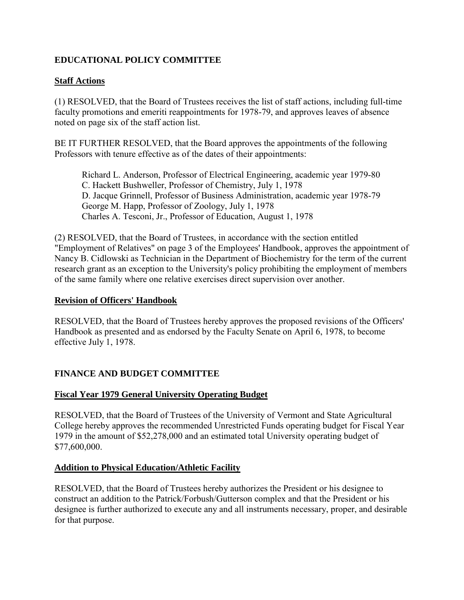# <span id="page-20-0"></span>**EDUCATIONAL POLICY COMMITTEE**

# **Staff Actions**

(1) RESOLVED, that the Board of Trustees receives the list of staff actions, including full-time faculty promotions and emeriti reappointments for 1978-79, and approves leaves of absence noted on page six of the staff action list.

BE IT FURTHER RESOLVED, that the Board approves the appointments of the following Professors with tenure effective as of the dates of their appointments:

Richard L. Anderson, Professor of Electrical Engineering, academic year 1979-80 C. Hackett Bushweller, Professor of Chemistry, July 1, 1978 D. Jacque Grinnell, Professor of Business Administration, academic year 1978-79 George M. Happ, Professor of Zoology, July 1, 1978 Charles A. Tesconi, Jr., Professor of Education, August 1, 1978

(2) RESOLVED, that the Board of Trustees, in accordance with the section entitled "Employment of Relatives" on page 3 of the Employees' Handbook, approves the appointment of Nancy B. Cidlowski as Technician in the Department of Biochemistry for the term of the current research grant as an exception to the University's policy prohibiting the employment of members of the same family where one relative exercises direct supervision over another.

#### **Revision of Officers' Handbook**

RESOLVED, that the Board of Trustees hereby approves the proposed revisions of the Officers' Handbook as presented and as endorsed by the Faculty Senate on April 6, 1978, to become effective July 1, 1978.

# **FINANCE AND BUDGET COMMITTEE**

## **Fiscal Year 1979 General University Operating Budget**

RESOLVED, that the Board of Trustees of the University of Vermont and State Agricultural College hereby approves the recommended Unrestricted Funds operating budget for Fiscal Year 1979 in the amount of \$52,278,000 and an estimated total University operating budget of \$77,600,000.

## **Addition to Physical Education/Athletic Facility**

RESOLVED, that the Board of Trustees hereby authorizes the President or his designee to construct an addition to the Patrick/Forbush/Gutterson complex and that the President or his designee is further authorized to execute any and all instruments necessary, proper, and desirable for that purpose.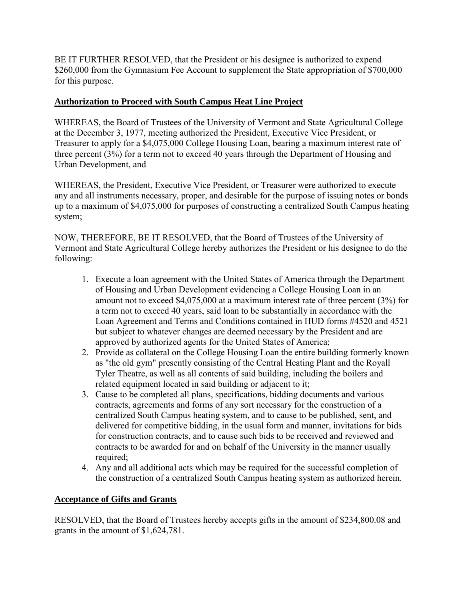<span id="page-21-0"></span>BE IT FURTHER RESOLVED, that the President or his designee is authorized to expend \$260,000 from the Gymnasium Fee Account to supplement the State appropriation of \$700,000 for this purpose.

# **Authorization to Proceed with South Campus Heat Line Project**

WHEREAS, the Board of Trustees of the University of Vermont and State Agricultural College at the December 3, 1977, meeting authorized the President, Executive Vice President, or Treasurer to apply for a \$4,075,000 College Housing Loan, bearing a maximum interest rate of three percent (3%) for a term not to exceed 40 years through the Department of Housing and Urban Development, and

WHEREAS, the President, Executive Vice President, or Treasurer were authorized to execute any and all instruments necessary, proper, and desirable for the purpose of issuing notes or bonds up to a maximum of \$4,075,000 for purposes of constructing a centralized South Campus heating system;

NOW, THEREFORE, BE IT RESOLVED, that the Board of Trustees of the University of Vermont and State Agricultural College hereby authorizes the President or his designee to do the following:

- 1. Execute a loan agreement with the United States of America through the Department of Housing and Urban Development evidencing a College Housing Loan in an amount not to exceed \$4,075,000 at a maximum interest rate of three percent (3%) for a term not to exceed 40 years, said loan to be substantially in accordance with the Loan Agreement and Terms and Conditions contained in HUD forms #4520 and 4521 but subject to whatever changes are deemed necessary by the President and are approved by authorized agents for the United States of America;
- 2. Provide as collateral on the College Housing Loan the entire building formerly known as "the old gym" presently consisting of the Central Heating Plant and the Royall Tyler Theatre, as well as all contents of said building, including the boilers and related equipment located in said building or adjacent to it;
- 3. Cause to be completed all plans, specifications, bidding documents and various contracts, agreements and forms of any sort necessary for the construction of a centralized South Campus heating system, and to cause to be published, sent, and delivered for competitive bidding, in the usual form and manner, invitations for bids for construction contracts, and to cause such bids to be received and reviewed and contracts to be awarded for and on behalf of the University in the manner usually required;
- 4. Any and all additional acts which may be required for the successful completion of the construction of a centralized South Campus heating system as authorized herein.

# **Acceptance of Gifts and Grants**

RESOLVED, that the Board of Trustees hereby accepts gifts in the amount of \$234,800.08 and grants in the amount of \$1,624,781.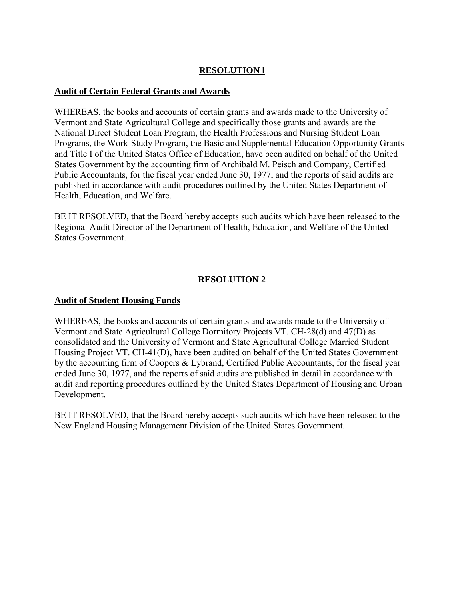# **RESOLUTION l**

#### <span id="page-22-0"></span>**Audit of Certain Federal Grants and Awards**

WHEREAS, the books and accounts of certain grants and awards made to the University of Vermont and State Agricultural College and specifically those grants and awards are the National Direct Student Loan Program, the Health Professions and Nursing Student Loan Programs, the Work-Study Program, the Basic and Supplemental Education Opportunity Grants and Title I of the United States Office of Education, have been audited on behalf of the United States Government by the accounting firm of Archibald M. Peisch and Company, Certified Public Accountants, for the fiscal year ended June 30, 1977, and the reports of said audits are published in accordance with audit procedures outlined by the United States Department of Health, Education, and Welfare.

BE IT RESOLVED, that the Board hereby accepts such audits which have been released to the Regional Audit Director of the Department of Health, Education, and Welfare of the United States Government.

## **RESOLUTION 2**

#### **Audit of Student Housing Funds**

WHEREAS, the books and accounts of certain grants and awards made to the University of Vermont and State Agricultural College Dormitory Projects VT. CH-28(d) and 47(D) as consolidated and the University of Vermont and State Agricultural College Married Student Housing Project VT. CH-41(D), have been audited on behalf of the United States Government by the accounting firm of Coopers & Lybrand, Certified Public Accountants, for the fiscal year ended June 30, 1977, and the reports of said audits are published in detail in accordance with audit and reporting procedures outlined by the United States Department of Housing and Urban Development.

BE IT RESOLVED, that the Board hereby accepts such audits which have been released to the New England Housing Management Division of the United States Government.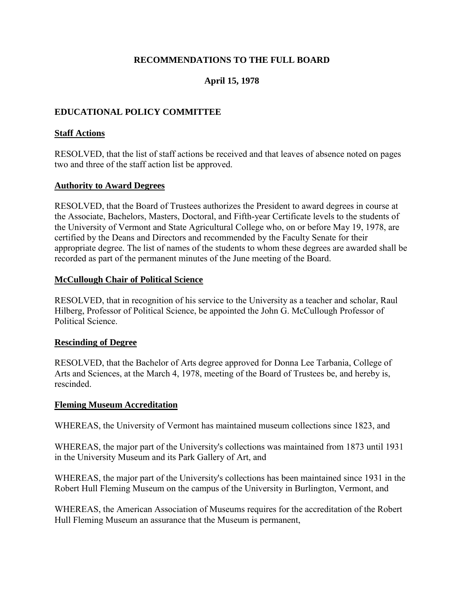## **RECOMMENDATIONS TO THE FULL BOARD**

## **April 15, 1978**

## <span id="page-23-0"></span>**EDUCATIONAL POLICY COMMITTEE**

#### **Staff Actions**

RESOLVED, that the list of staff actions be received and that leaves of absence noted on pages two and three of the staff action list be approved.

#### **Authority to Award Degrees**

RESOLVED, that the Board of Trustees authorizes the President to award degrees in course at the Associate, Bachelors, Masters, Doctoral, and Fifth-year Certificate levels to the students of the University of Vermont and State Agricultural College who, on or before May 19, 1978, are certified by the Deans and Directors and recommended by the Faculty Senate for their appropriate degree. The list of names of the students to whom these degrees are awarded shall be recorded as part of the permanent minutes of the June meeting of the Board.

#### **McCullough Chair of Political Science**

RESOLVED, that in recognition of his service to the University as a teacher and scholar, Raul Hilberg, Professor of Political Science, be appointed the John G. McCullough Professor of Political Science.

#### **Rescinding of Degree**

RESOLVED, that the Bachelor of Arts degree approved for Donna Lee Tarbania, College of Arts and Sciences, at the March 4, 1978, meeting of the Board of Trustees be, and hereby is, rescinded.

#### **Fleming Museum Accreditation**

WHEREAS, the University of Vermont has maintained museum collections since 1823, and

WHEREAS, the major part of the University's collections was maintained from 1873 until 1931 in the University Museum and its Park Gallery of Art, and

WHEREAS, the major part of the University's collections has been maintained since 1931 in the Robert Hull Fleming Museum on the campus of the University in Burlington, Vermont, and

WHEREAS, the American Association of Museums requires for the accreditation of the Robert Hull Fleming Museum an assurance that the Museum is permanent,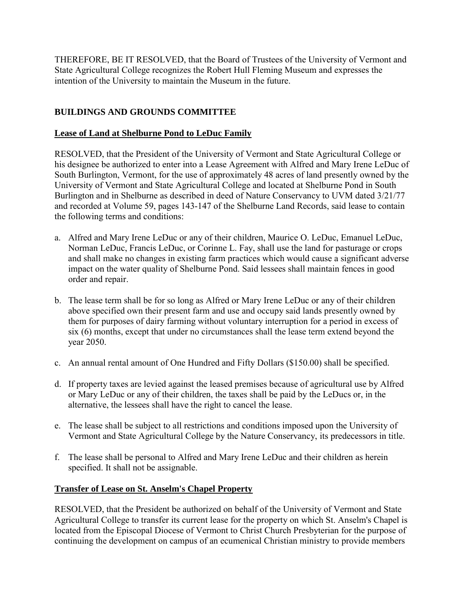<span id="page-24-0"></span>THEREFORE, BE IT RESOLVED, that the Board of Trustees of the University of Vermont and State Agricultural College recognizes the Robert Hull Fleming Museum and expresses the intention of the University to maintain the Museum in the future.

# **BUILDINGS AND GROUNDS COMMITTEE**

# **Lease of Land at Shelburne Pond to LeDuc Family**

RESOLVED, that the President of the University of Vermont and State Agricultural College or his designee be authorized to enter into a Lease Agreement with Alfred and Mary Irene LeDuc of South Burlington, Vermont, for the use of approximately 48 acres of land presently owned by the University of Vermont and State Agricultural College and located at Shelburne Pond in South Burlington and in Shelburne as described in deed of Nature Conservancy to UVM dated 3/21/77 and recorded at Volume 59, pages 143-147 of the Shelburne Land Records, said lease to contain the following terms and conditions:

- a. Alfred and Mary Irene LeDuc or any of their children, Maurice O. LeDuc, Emanuel LeDuc, Norman LeDuc, Francis LeDuc, or Corinne L. Fay, shall use the land for pasturage or crops and shall make no changes in existing farm practices which would cause a significant adverse impact on the water quality of Shelburne Pond. Said lessees shall maintain fences in good order and repair.
- b. The lease term shall be for so long as Alfred or Mary Irene LeDuc or any of their children above specified own their present farm and use and occupy said lands presently owned by them for purposes of dairy farming without voluntary interruption for a period in excess of six (6) months, except that under no circumstances shall the lease term extend beyond the year 2050.
- c. An annual rental amount of One Hundred and Fifty Dollars (\$150.00) shall be specified.
- d. If property taxes are levied against the leased premises because of agricultural use by Alfred or Mary LeDuc or any of their children, the taxes shall be paid by the LeDucs or, in the alternative, the lessees shall have the right to cancel the lease.
- e. The lease shall be subject to all restrictions and conditions imposed upon the University of Vermont and State Agricultural College by the Nature Conservancy, its predecessors in title.
- f. The lease shall be personal to Alfred and Mary Irene LeDuc and their children as herein specified. It shall not be assignable.

# **Transfer of Lease on St. Anselm's Chapel Property**

RESOLVED, that the President be authorized on behalf of the University of Vermont and State Agricultural College to transfer its current lease for the property on which St. Anselm's Chapel is located from the Episcopal Diocese of Vermont to Christ Church Presbyterian for the purpose of continuing the development on campus of an ecumenical Christian ministry to provide members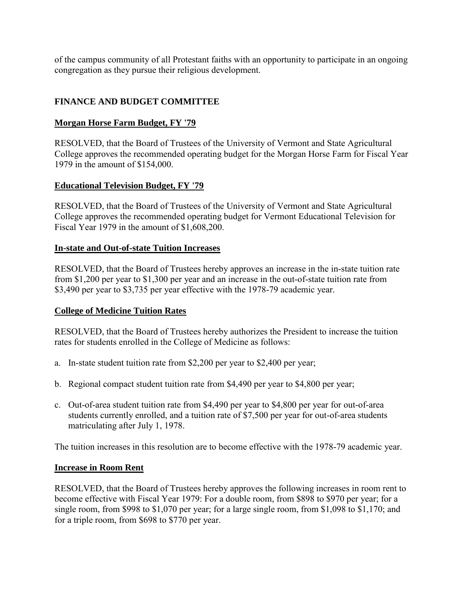<span id="page-25-0"></span>of the campus community of all Protestant faiths with an opportunity to participate in an ongoing congregation as they pursue their religious development.

# **FINANCE AND BUDGET COMMITTEE**

# **Morgan Horse Farm Budget, FY '79**

RESOLVED, that the Board of Trustees of the University of Vermont and State Agricultural College approves the recommended operating budget for the Morgan Horse Farm for Fiscal Year 1979 in the amount of \$154,000.

# **Educational Television Budget, FY '79**

RESOLVED, that the Board of Trustees of the University of Vermont and State Agricultural College approves the recommended operating budget for Vermont Educational Television for Fiscal Year 1979 in the amount of \$1,608,200.

## **In-state and Out-of-state Tuition Increases**

RESOLVED, that the Board of Trustees hereby approves an increase in the in-state tuition rate from \$1,200 per year to \$1,300 per year and an increase in the out-of-state tuition rate from \$3,490 per year to \$3,735 per year effective with the 1978-79 academic year.

## **College of Medicine Tuition Rates**

RESOLVED, that the Board of Trustees hereby authorizes the President to increase the tuition rates for students enrolled in the College of Medicine as follows:

- a. In-state student tuition rate from \$2,200 per year to \$2,400 per year;
- b. Regional compact student tuition rate from \$4,490 per year to \$4,800 per year;
- c. Out-of-area student tuition rate from \$4,490 per year to \$4,800 per year for out-of-area students currently enrolled, and a tuition rate of \$7,500 per year for out-of-area students matriculating after July 1, 1978.

The tuition increases in this resolution are to become effective with the 1978-79 academic year.

## **Increase in Room Rent**

RESOLVED, that the Board of Trustees hereby approves the following increases in room rent to become effective with Fiscal Year 1979: For a double room, from \$898 to \$970 per year; for a single room, from \$998 to \$1,070 per year; for a large single room, from \$1,098 to \$1,170; and for a triple room, from \$698 to \$770 per year.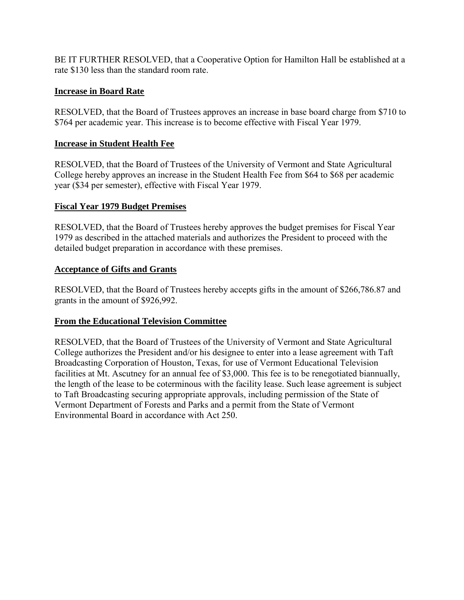<span id="page-26-0"></span>BE IT FURTHER RESOLVED, that a Cooperative Option for Hamilton Hall be established at a rate \$130 less than the standard room rate.

# **Increase in Board Rate**

RESOLVED, that the Board of Trustees approves an increase in base board charge from \$710 to \$764 per academic year. This increase is to become effective with Fiscal Year 1979.

# **Increase in Student Health Fee**

RESOLVED, that the Board of Trustees of the University of Vermont and State Agricultural College hereby approves an increase in the Student Health Fee from \$64 to \$68 per academic year (\$34 per semester), effective with Fiscal Year 1979.

# **Fiscal Year 1979 Budget Premises**

RESOLVED, that the Board of Trustees hereby approves the budget premises for Fiscal Year 1979 as described in the attached materials and authorizes the President to proceed with the detailed budget preparation in accordance with these premises.

## **Acceptance of Gifts and Grants**

RESOLVED, that the Board of Trustees hereby accepts gifts in the amount of \$266,786.87 and grants in the amount of \$926,992.

# **From the Educational Television Committee**

RESOLVED, that the Board of Trustees of the University of Vermont and State Agricultural College authorizes the President and/or his designee to enter into a lease agreement with Taft Broadcasting Corporation of Houston, Texas, for use of Vermont Educational Television facilities at Mt. Ascutney for an annual fee of \$3,000. This fee is to be renegotiated biannually, the length of the lease to be coterminous with the facility lease. Such lease agreement is subject to Taft Broadcasting securing appropriate approvals, including permission of the State of Vermont Department of Forests and Parks and a permit from the State of Vermont Environmental Board in accordance with Act 250.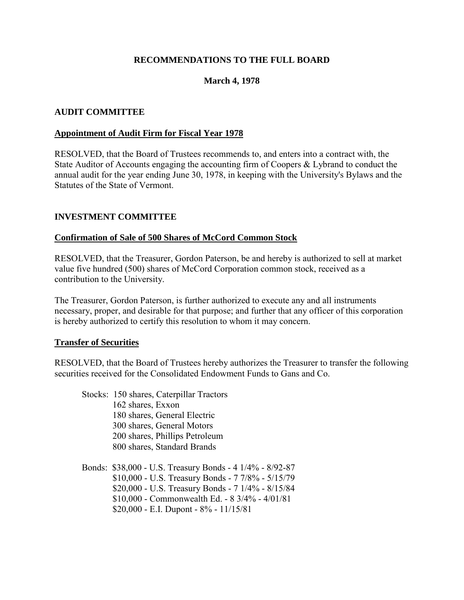#### **RECOMMENDATIONS TO THE FULL BOARD**

#### **March 4, 1978**

#### <span id="page-27-0"></span>**AUDIT COMMITTEE**

#### **Appointment of Audit Firm for Fiscal Year 1978**

RESOLVED, that the Board of Trustees recommends to, and enters into a contract with, the State Auditor of Accounts engaging the accounting firm of Coopers & Lybrand to conduct the annual audit for the year ending June 30, 1978, in keeping with the University's Bylaws and the Statutes of the State of Vermont.

#### **INVESTMENT COMMITTEE**

#### **Confirmation of Sale of 500 Shares of McCord Common Stock**

RESOLVED, that the Treasurer, Gordon Paterson, be and hereby is authorized to sell at market value five hundred (500) shares of McCord Corporation common stock, received as a contribution to the University.

The Treasurer, Gordon Paterson, is further authorized to execute any and all instruments necessary, proper, and desirable for that purpose; and further that any officer of this corporation is hereby authorized to certify this resolution to whom it may concern.

#### **Transfer of Securities**

RESOLVED, that the Board of Trustees hereby authorizes the Treasurer to transfer the following securities received for the Consolidated Endowment Funds to Gans and Co.

 Stocks: 150 shares, Caterpillar Tractors 162 shares, Exxon 180 shares, General Electric 300 shares, General Motors 200 shares, Phillips Petroleum 800 shares, Standard Brands Bonds: \$38,000 - U.S. Treasury Bonds - 4 1/4% - 8/92-87 \$10,000 - U.S. Treasury Bonds - 7 7/8% - 5/15/79

\$20,000 - U.S. Treasury Bonds - 7 1/4% - 8/15/84

\$10,000 - Commonwealth Ed. - 8 3/4% - 4/01/81

 $$20,000 - E.I.$  Dupont -  $8\%$  -  $11/15/81$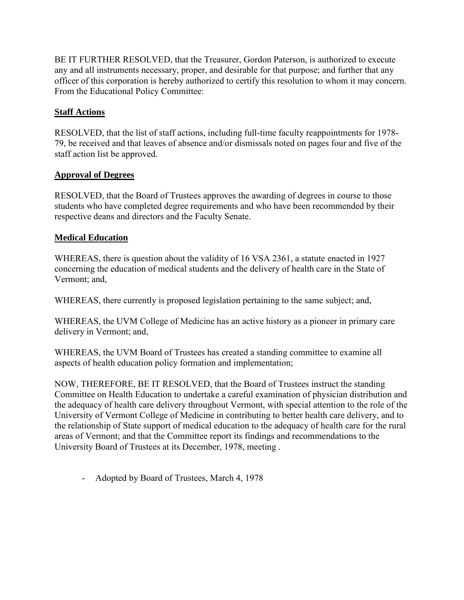<span id="page-28-0"></span>BE IT FURTHER RESOLVED, that the Treasurer, Gordon Paterson, is authorized to execute any and all instruments necessary, proper, and desirable for that purpose; and further that any officer of this corporation is hereby authorized to certify this resolution to whom it may concern. From the Educational Policy Committee:

# **Staff Actions**

RESOLVED, that the list of staff actions, including full-time faculty reappointments for 1978- 79, be received and that leaves of absence and/or dismissals noted on pages four and five of the staff action list be approved.

## **Approval of Degrees**

RESOLVED, that the Board of Trustees approves the awarding of degrees in course to those students who have completed degree requirements and who have been recommended by their respective deans and directors and the Faculty Senate.

# **Medical Education**

WHEREAS, there is question about the validity of 16 VSA 2361, a statute enacted in 1927 concerning the education of medical students and the delivery of health care in the State of Vermont; and,

WHEREAS, there currently is proposed legislation pertaining to the same subject; and,

WHEREAS, the UVM College of Medicine has an active history as a pioneer in primary care delivery in Vermont; and,

WHEREAS, the UVM Board of Trustees has created a standing committee to examine all aspects of health education policy formation and implementation;

NOW, THEREFORE, BE IT RESOLVED, that the Board of Trustees instruct the standing Committee on Health Education to undertake a careful examination of physician distribution and the adequacy of health care delivery throughout Vermont, with special attention to the role of the University of Vermont College of Medicine in contributing to better health care delivery, and to the relationship of State support of medical education to the adequacy of health care for the rural areas of Vermont; and that the Committee report its findings and recommendations to the University Board of Trustees at its December, 1978, meeting .

- Adopted by Board of Trustees, March 4, 1978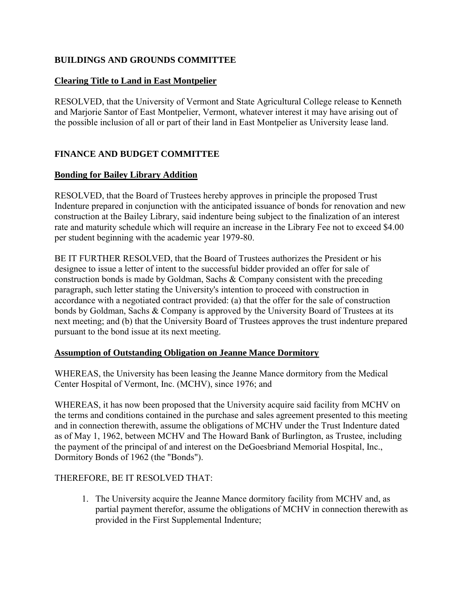# <span id="page-29-0"></span>**BUILDINGS AND GROUNDS COMMITTEE**

## **Clearing Title to Land in East Montpelier**

RESOLVED, that the University of Vermont and State Agricultural College release to Kenneth and Marjorie Santor of East Montpelier, Vermont, whatever interest it may have arising out of the possible inclusion of all or part of their land in East Montpelier as University lease land.

# **FINANCE AND BUDGET COMMITTEE**

# **Bonding for Bailey Library Addition**

RESOLVED, that the Board of Trustees hereby approves in principle the proposed Trust Indenture prepared in conjunction with the anticipated issuance of bonds for renovation and new construction at the Bailey Library, said indenture being subject to the finalization of an interest rate and maturity schedule which will require an increase in the Library Fee not to exceed \$4.00 per student beginning with the academic year 1979-80.

BE IT FURTHER RESOLVED, that the Board of Trustees authorizes the President or his designee to issue a letter of intent to the successful bidder provided an offer for sale of construction bonds is made by Goldman, Sachs & Company consistent with the preceding paragraph, such letter stating the University's intention to proceed with construction in accordance with a negotiated contract provided: (a) that the offer for the sale of construction bonds by Goldman, Sachs & Company is approved by the University Board of Trustees at its next meeting; and (b) that the University Board of Trustees approves the trust indenture prepared pursuant to the bond issue at its next meeting.

## **Assumption of Outstanding Obligation on Jeanne Mance Dormitory**

WHEREAS, the University has been leasing the Jeanne Mance dormitory from the Medical Center Hospital of Vermont, Inc. (MCHV), since 1976; and

WHEREAS, it has now been proposed that the University acquire said facility from MCHV on the terms and conditions contained in the purchase and sales agreement presented to this meeting and in connection therewith, assume the obligations of MCHV under the Trust Indenture dated as of May 1, 1962, between MCHV and The Howard Bank of Burlington, as Trustee, including the payment of the principal of and interest on the DeGoesbriand Memorial Hospital, Inc., Dormitory Bonds of 1962 (the "Bonds").

## THEREFORE, BE IT RESOLVED THAT:

1. The University acquire the Jeanne Mance dormitory facility from MCHV and, as partial payment therefor, assume the obligations of MCHV in connection therewith as provided in the First Supplemental Indenture;